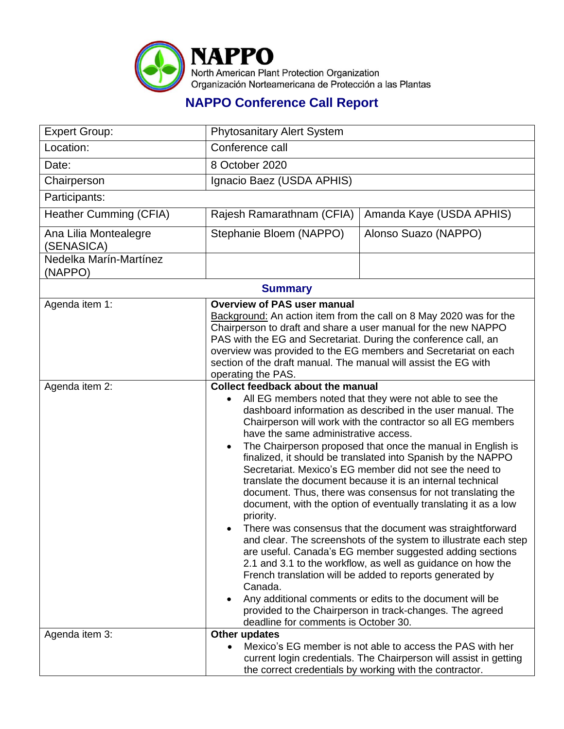

## **NAPPO Conference Call Report**

| <b>Expert Group:</b>                | <b>Phytosanitary Alert System</b>                                                                                                                                                                                                                                                                                                                                                                                                                                                                                                                                                                                                                                                                                                                                                                                                                                                                                                                                                                                                                                                                                                                                                       |                                                                                                                                                                                           |  |
|-------------------------------------|-----------------------------------------------------------------------------------------------------------------------------------------------------------------------------------------------------------------------------------------------------------------------------------------------------------------------------------------------------------------------------------------------------------------------------------------------------------------------------------------------------------------------------------------------------------------------------------------------------------------------------------------------------------------------------------------------------------------------------------------------------------------------------------------------------------------------------------------------------------------------------------------------------------------------------------------------------------------------------------------------------------------------------------------------------------------------------------------------------------------------------------------------------------------------------------------|-------------------------------------------------------------------------------------------------------------------------------------------------------------------------------------------|--|
| Location:                           | Conference call                                                                                                                                                                                                                                                                                                                                                                                                                                                                                                                                                                                                                                                                                                                                                                                                                                                                                                                                                                                                                                                                                                                                                                         |                                                                                                                                                                                           |  |
| Date:                               | 8 October 2020                                                                                                                                                                                                                                                                                                                                                                                                                                                                                                                                                                                                                                                                                                                                                                                                                                                                                                                                                                                                                                                                                                                                                                          |                                                                                                                                                                                           |  |
| Chairperson                         | Ignacio Baez (USDA APHIS)                                                                                                                                                                                                                                                                                                                                                                                                                                                                                                                                                                                                                                                                                                                                                                                                                                                                                                                                                                                                                                                                                                                                                               |                                                                                                                                                                                           |  |
| Participants:                       |                                                                                                                                                                                                                                                                                                                                                                                                                                                                                                                                                                                                                                                                                                                                                                                                                                                                                                                                                                                                                                                                                                                                                                                         |                                                                                                                                                                                           |  |
| <b>Heather Cumming (CFIA)</b>       | Rajesh Ramarathnam (CFIA)                                                                                                                                                                                                                                                                                                                                                                                                                                                                                                                                                                                                                                                                                                                                                                                                                                                                                                                                                                                                                                                                                                                                                               | Amanda Kaye (USDA APHIS)                                                                                                                                                                  |  |
| Ana Lilia Montealegre<br>(SENASICA) | Stephanie Bloem (NAPPO)                                                                                                                                                                                                                                                                                                                                                                                                                                                                                                                                                                                                                                                                                                                                                                                                                                                                                                                                                                                                                                                                                                                                                                 | Alonso Suazo (NAPPO)                                                                                                                                                                      |  |
| Nedelka Marín-Martínez<br>(NAPPO)   |                                                                                                                                                                                                                                                                                                                                                                                                                                                                                                                                                                                                                                                                                                                                                                                                                                                                                                                                                                                                                                                                                                                                                                                         |                                                                                                                                                                                           |  |
| <b>Summary</b>                      |                                                                                                                                                                                                                                                                                                                                                                                                                                                                                                                                                                                                                                                                                                                                                                                                                                                                                                                                                                                                                                                                                                                                                                                         |                                                                                                                                                                                           |  |
| Agenda item 1:                      | <b>Overview of PAS user manual</b><br>Background: An action item from the call on 8 May 2020 was for the<br>Chairperson to draft and share a user manual for the new NAPPO<br>PAS with the EG and Secretariat. During the conference call, an<br>overview was provided to the EG members and Secretariat on each<br>section of the draft manual. The manual will assist the EG with<br>operating the PAS.                                                                                                                                                                                                                                                                                                                                                                                                                                                                                                                                                                                                                                                                                                                                                                               |                                                                                                                                                                                           |  |
| Agenda item 2:                      | <b>Collect feedback about the manual</b><br>All EG members noted that they were not able to see the<br>dashboard information as described in the user manual. The<br>Chairperson will work with the contractor so all EG members<br>have the same administrative access.<br>The Chairperson proposed that once the manual in English is<br>٠<br>finalized, it should be translated into Spanish by the NAPPO<br>Secretariat. Mexico's EG member did not see the need to<br>translate the document because it is an internal technical<br>document. Thus, there was consensus for not translating the<br>document, with the option of eventually translating it as a low<br>priority.<br>There was consensus that the document was straightforward<br>and clear. The screenshots of the system to illustrate each step<br>are useful. Canada's EG member suggested adding sections<br>2.1 and 3.1 to the workflow, as well as guidance on how the<br>French translation will be added to reports generated by<br>Canada.<br>Any additional comments or edits to the document will be<br>provided to the Chairperson in track-changes. The agreed<br>deadline for comments is October 30. |                                                                                                                                                                                           |  |
| Agenda item 3:                      | Other updates                                                                                                                                                                                                                                                                                                                                                                                                                                                                                                                                                                                                                                                                                                                                                                                                                                                                                                                                                                                                                                                                                                                                                                           | Mexico's EG member is not able to access the PAS with her<br>current login credentials. The Chairperson will assist in getting<br>the correct credentials by working with the contractor. |  |